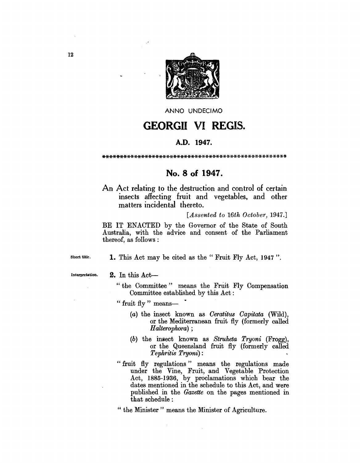

ANNO UNDECIMO

# GEORGII VI REGIS.

#### A.D. 1947.

\*\*\*\*\*\*\*\*\*\*\*\*\*\*\*\*\*\*\*\*\*\*\*\*\*\*\*\*\*\*\*\*\*\*\*\*\*\*\*\*\*\*\*\*\*\*\*\*\*\*\*\*

### No.8 of 1947.

An Act relating to the destruction and control of certain insects affecting fruit and vegetables, and other matters incidental thereto.

*[Assented to 16th October, 1947.]* 

BE IT ENACTED by the Governor of the State of South Australia, with the advice and consent of the Parliament thereof, as follows :

Short title.

1. This Act may be cited as the "Fruit Fly Act, 1947".

Interpretation.

#### 2. In this Act-

- "the Committee" means the Fruit Fly Compensation Committee established by this Act:
- " fruit fly " means- $\overline{\phantom{a}}$ "
	- *(a)* the insect known as *Oeratitus Oapitata* (Wild), or the Mediterranean fruit fly (formerly called *H alterophora) ;*
	- (b) the insect known as *Struheta Tryoni* (Frogg), or the Queensland fruit fly (formerly called *Tephritis Tryoni):*
- "fruit fly regulations" means the regulations made under the Vine, Fruit, and Vegetable Protection Act, 1885-1936, by proclamations which bear the dates mentioned in the schedule to this Act, and were published in the *Gazette* on the pages mentioned in that schedule:

" the Minister" means the Minister of Agriculture.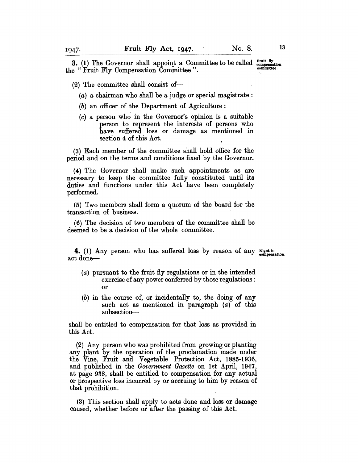----------------~------------------------- **3.** (1) The Governor shall appoint a Committee to be called  $_{\text{compensation}}^{\text{Frutt fly}}$ the "Fruit Fly Compensation Committee".

 $(2)$  The committee shall consist of-

(a) a chairman who shall be a judge or special magistrate :

- (b) an officer of the Department of Agriculture:
- $(c)$  a person who in the Governor's opinion is a suitable person to represent the interests of persons who have suffered loss or damage as mentioned in section 4 of this Act.

(3) Each member of the committee shall hold office for the period and on the terms and conditions fixed by the Governor.

(4) The Governor shall make such appointments as are necessary to keep the committee fully constituted until its duties and functions under this Act have been completely performed.

(5) Two members shall form a quorum of the board for the transaction of business.

(6) The decision of two members of the committee shall be deemed to be a decision of the whole committee.

4. (1) Any person who has suffered loss by reason of any Right to compensation. act done-

- (a) pursuant to the fruit fly regulations or in the intended exercise of any power conferred by those regulations : or
- (b) in the course of, or incidentally to, the doing of any such act as mentioned in paragraph (a) of this subsection-

shall be entitled to compensation for that loss as provided in this Act.

(2) Any person who was prohibited from growing or planting any plant by the operation of the proclamation made under the Vine, Fruit and Vegetable Protection Act, 1885-1936, and published in the *Government Gazette* on 1st April, 1947, at page 938, shall be entitled to compensation for any actual or prospective loss incurred by or accruing to him by reason of that prohibition.

(3) This section shall apply to acts done and loss or damage caused, whether before or after the passing of this Act.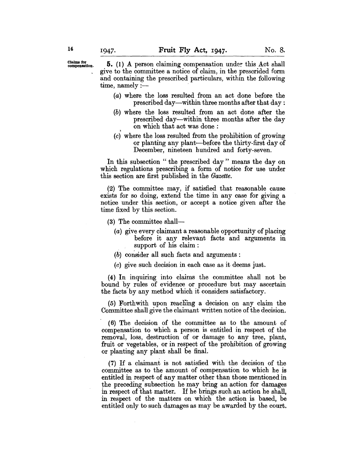$\frac{\text{Claims for}}{\text{compensation}}$ . 5. (1) A person claiming compensation under this Act shall . give to the committee a notice of claim, in the prescrided form and containing the prescribed particulars, within the following time, namely :-

- (a) where the loss resulted from an act done before the prescribed day-within three months after that day:
- (b) where the loss resulted from an act done after the prescribed day-within three months after the day on which that act was done :
- (c) where the loss resulted from the prohibition of growing or planting any plant-before the thirty-first day of December, nineteen hundred and forty-seven.

In this subsection " the prescribed day" means the day on which regulations prescribing a form of notice for use under this section are first published in the *Gazette.* 

(2) The committee may, if satisfied that reasonable cause exists for so doing, extend the time in any case for giving a notice under this section, or accept a notice given after the time fixed by this section.

- (3) The committee shall-
	- (a) give every claimant a reasonable opportunity of placing before it any relevant facts and arguments in support of his claim:
	- (b) consider all such facts and arguments:
	- (c) give such decision in each case as it deems just.

(4) In inquiring into claims the committee shall not be bound by rules of evidence or procedure but may ascertain the facts by any method which it considers satisfactory.

(5) Forthwith upon reacliing a decision on any claim the Committee shall give the claimant written notice of the decision.

. (6) The decision of the committee as to the amount of compensation to which a person is entitled in respect of the removal, loss, destruction of or damage to any tree, plant, fruit or vegetables, or in respect of the prohibition of growing or planting any plant shall be final.

(7) If a claimant is not satisfied with the decision of the committee as to the amount of compensation to which he is entitled in respect of any matter other than those mentioned in the preceding subsection he may bring an action for damages in respect of that matter. If he brings such an action he shall, in respect of the matters on which the action is based, be entitled only to such damages as may be awarded by the court.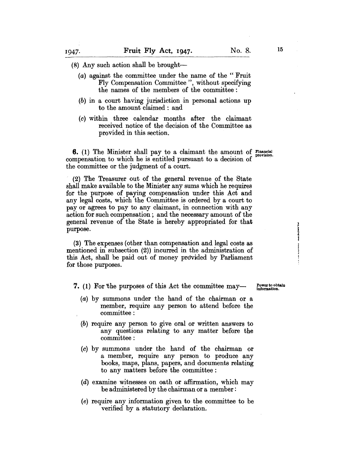$(8)$  Any such action shall be brought-

- (a) against the committee under the name of the" Fruit Fly Compensation Committee", without specifying the names of the members of the committee:
- (b) in a court having jurisdiction in personal actions up to the amount claimed: and
- (c) within three calendar months after the claimant received notice of the decision of the Committee as provided in this section.

**6.** (1) The Minister shall pay to a claimant the amount of Financial compensation to which he is entitled pursuant to a decision of the committee or the judgment of a court.

(2) The Treasurer out of the general revenue of the State shall make available to the Minister any sums which he requires for the purpose of paying compensation under this Act and any legal costs, which the Committee is ordered by a court to payor agrees to pay to any claimant, in connection with any action for such compensation; and the necessary amount of the general revenue of the State is hereby appropriated for that purpose.

(3) The expenses (other than compensation and legal costs as mentioned in subsection (2)) incurred in the administration of this Act, shall be paid out of money provided by Parliament for those purposes.

7. (1) For the purposes of this Act the committee may—

Power to obtain Information.

a a di di di di

- (a) by summons under the hand of the chairman or a member, require any person to attend before the committee:
- (b) require any person to give oral or written answers to any questions relating to any matter before the committee:
- (c) by summons under the hand of the chairman or a member, require any person to produce any books, maps, plans, papers, and documents relating to any matters before the committee:
- (d) examine witnesses on oath or affirmation, which may be administered by the chairman or a member:
- (e) require any information given to the committee to be verified by a statutory declaration.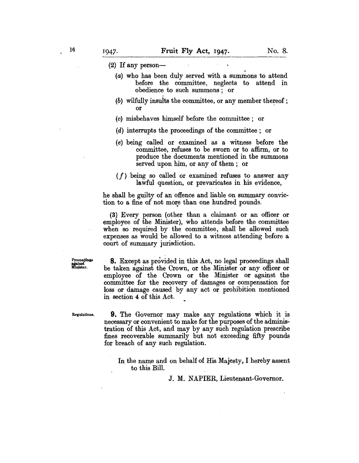(2) If any person-

- (a) who has been duly served with a summons to attend before the committee, neglects to attend in obedience to such summons; or
- $(b)$  wilfully insults the committee, or any member thereof; or
- (c) misbehaves himself before the committee; or
- (d) interrupts the proceedings of the committee; or
- (e) being called or examined as a witness before the committee, refuses to be sworn or to affirm, or to produce the documents mentioned in the summons served upon him, or any of them; or
- *(f)* being so called or examined refuses to answer any lawful question, or prevaricates in his evidence,

he shall be guilty of an offence and liable on summary conviction to a fine of not more than one hundred pounds.

(3) Every person (other than a claimant or an officer or employee of the Minister), who attends before the committee when so required by the committee, shall be allowed such expenses as would be allowed to a witness attending before a court of summary jurisdiction.

Proceedings<br>against<br>Minister.

8. Except as provided in this Act, no legal proceedings shall be taken against the Crown, or the Minister or any officer or employee of the Crown or the Minister or against the committee for the recovery of damages or compensation for loss or damage caused by any act or prohibition mentioned in section 4 of this Act.

Regulations.

9. The Governor may make any regulations which it is necessary or convenient to make for the purposes of the administration of this Act, and may by any such regulation prescribe fines recoverable summarily but not exceeding fifty pounds for breach of any such regulation.

In the name and on behalf of His Majesty, I hereby assent to this Bill.

J. M. NAPIER, Lieutenant-Governor.